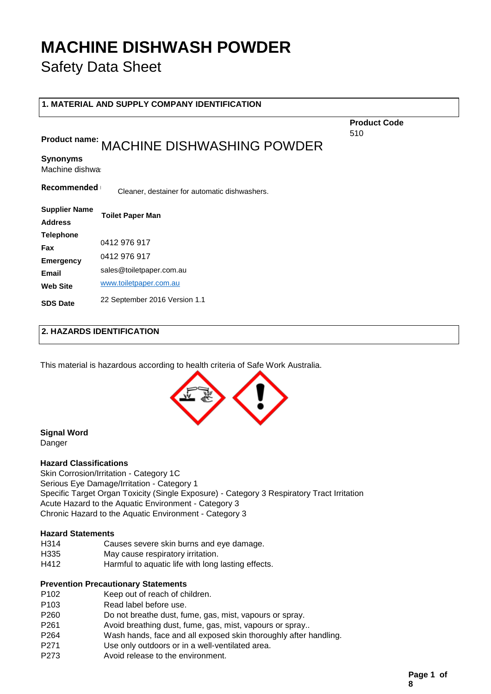## **MACHINE DISHWASH POWDER**  Safety Data Sheet

| <b>1. MATERIAL AND SUPPLY COMPANY IDENTIFICATION</b> |                                                         |                            |  |
|------------------------------------------------------|---------------------------------------------------------|----------------------------|--|
| <b>Product name:</b>                                 | <b>MACHINE DISHWASHING POWDER</b>                       | <b>Product Code</b><br>510 |  |
| <b>Synonyms</b><br>Machine dishwa                    |                                                         |                            |  |
| Recommended                                          | Cleaner, destainer for automatic dishwashers.           |                            |  |
| <b>Supplier Name</b><br><b>Address</b>               | <b>Toilet Paper Man</b>                                 |                            |  |
| <b>Telephone</b><br>Fax                              | 0412 976 917                                            |                            |  |
| <b>Emergency</b><br><b>Email</b>                     | 0412 976 917<br>sales@toiletpaper.com.au                |                            |  |
| <b>Web Site</b><br><b>SDS Date</b>                   | www.toiletpaper.com.au<br>22 September 2016 Version 1.1 |                            |  |
|                                                      |                                                         |                            |  |

### **2. HAZARDS IDENTIFICATION**

This material is hazardous according to health criteria of Safe Work Australia.



### **Signal Word**

Danger

#### **Hazard Classifications**

Skin Corrosion/Irritation - Category 1C Serious Eye Damage/Irritation - Category 1 Specific Target Organ Toxicity (Single Exposure) - Category 3 Respiratory Tract Irritation Acute Hazard to the Aquatic Environment - Category 3 Chronic Hazard to the Aquatic Environment - Category 3

#### **Hazard Statements**

| H314 | Causes severe skin burns and eye damage. |
|------|------------------------------------------|
|------|------------------------------------------|

- H335 May cause respiratory irritation.
- H412 Harmful to aquatic life with long lasting effects.

### **Prevention Precautionary Statements**

- P102 Keep out of reach of children.
- P103 Read label before use.
- P260 Do not breathe dust, fume, gas, mist, vapours or spray.
- P261 Avoid breathing dust, fume, gas, mist, vapours or spray..
- P264 Wash hands, face and all exposed skin thoroughly after handling.
- P271 Use only outdoors or in a well-ventilated area.
- P273 Avoid release to the environment.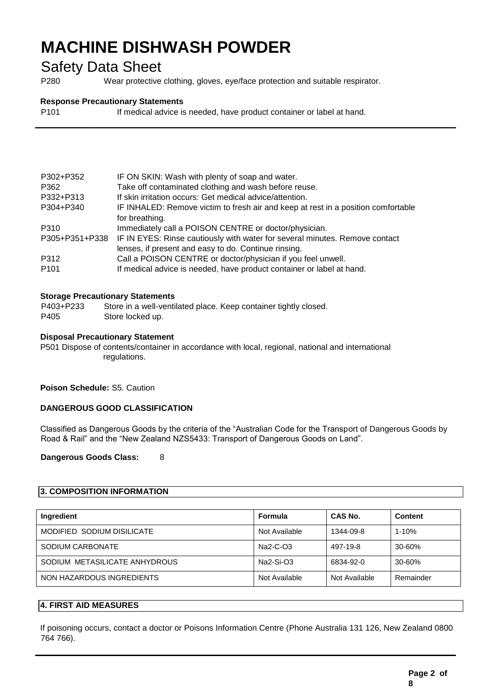### Safety Data Sheet

P280 Wear protective clothing, gloves, eye/face protection and suitable respirator.

### **Response Precautionary Statements**

P101 If medical advice is needed, have product container or label at hand.

| P302+P352        | IF ON SKIN: Wash with plenty of soap and water.                                   |
|------------------|-----------------------------------------------------------------------------------|
| P362             | Take off contaminated clothing and wash before reuse.                             |
| P332+P313        | If skin irritation occurs: Get medical advice/attention.                          |
| P304+P340        | IF INHALED: Remove victim to fresh air and keep at rest in a position comfortable |
|                  | for breathing.                                                                    |
| P310             | Immediately call a POISON CENTRE or doctor/physician.                             |
| P305+P351+P338   | IF IN EYES: Rinse cautiously with water for several minutes. Remove contact       |
|                  | lenses, if present and easy to do. Continue rinsing.                              |
| P312             | Call a POISON CENTRE or doctor/physician if you feel unwell.                      |
| P <sub>101</sub> | If medical advice is needed, have product container or label at hand.             |

### **Storage Precautionary Statements**

| P403+P233 | Store in a well-ventilated place. Keep container tightly closed. |
|-----------|------------------------------------------------------------------|
| P405      | Store locked up.                                                 |

### **Disposal Precautionary Statement**

P501 Dispose of contents/container in accordance with local, regional, national and international regulations.

#### **Poison Schedule:** S5. Caution

### **DANGEROUS GOOD CLASSIFICATION**

Classified as Dangerous Goods by the criteria of the "Australian Code for the Transport of Dangerous Goods by Road & Rail" and the "New Zealand NZS5433: Transport of Dangerous Goods on Land".

#### **Dangerous Goods Class:** 8

### **3. COMPOSITION INFORMATION**

| Ingredient                    | Formula       | <b>CAS No.</b> | <b>Content</b> |
|-------------------------------|---------------|----------------|----------------|
| MODIFIED SODIUM DISILICATE    | Not Available | 1344-09-8      | 1-10%          |
| SODIUM CARBONATE              | Na2-C-O3      | 497-19-8       | 30-60%         |
| SODIUM METASILICATE ANHYDROUS | Na2-Si-O3     | 6834-92-0      | 30-60%         |
| NON HAZARDOUS INGREDIENTS     | Not Available | Not Available  | Remainder      |

### **4. FIRST AID MEASURES**

If poisoning occurs, contact a doctor or Poisons Information Centre (Phone Australia 131 126, New Zealand 0800 764 766).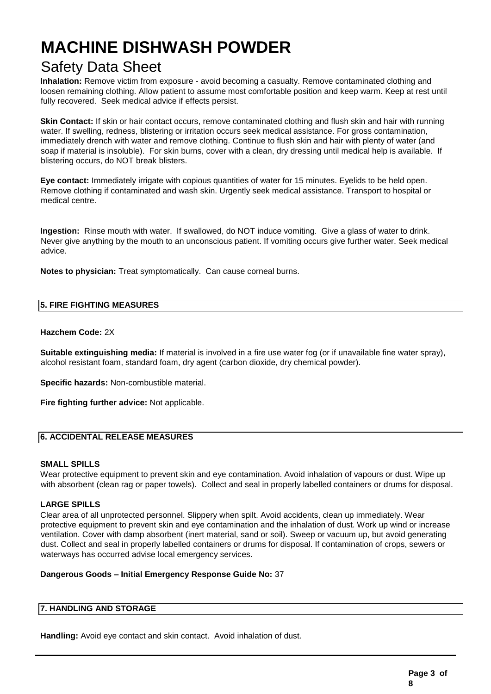### Safety Data Sheet

**Inhalation:** Remove victim from exposure - avoid becoming a casualty. Remove contaminated clothing and loosen remaining clothing. Allow patient to assume most comfortable position and keep warm. Keep at rest until fully recovered. Seek medical advice if effects persist.

**Skin Contact:** If skin or hair contact occurs, remove contaminated clothing and flush skin and hair with running water. If swelling, redness, blistering or irritation occurs seek medical assistance. For gross contamination, immediately drench with water and remove clothing. Continue to flush skin and hair with plenty of water (and soap if material is insoluble). For skin burns, cover with a clean, dry dressing until medical help is available. If blistering occurs, do NOT break blisters.

**Eye contact:** Immediately irrigate with copious quantities of water for 15 minutes. Eyelids to be held open. Remove clothing if contaminated and wash skin. Urgently seek medical assistance. Transport to hospital or medical centre.

**Ingestion:** Rinse mouth with water. If swallowed, do NOT induce vomiting. Give a glass of water to drink. Never give anything by the mouth to an unconscious patient. If vomiting occurs give further water. Seek medical advice.

**Notes to physician:** Treat symptomatically. Can cause corneal burns.

### **5. FIRE FIGHTING MEASURES**

### **Hazchem Code:** 2X

**Suitable extinguishing media:** If material is involved in a fire use water fog (or if unavailable fine water spray), alcohol resistant foam, standard foam, dry agent (carbon dioxide, dry chemical powder).

**Specific hazards:** Non-combustible material.

**Fire fighting further advice:** Not applicable.

### **6. ACCIDENTAL RELEASE MEASURES**

### **SMALL SPILLS**

Wear protective equipment to prevent skin and eye contamination. Avoid inhalation of vapours or dust. Wipe up with absorbent (clean rag or paper towels). Collect and seal in properly labelled containers or drums for disposal.

### **LARGE SPILLS**

Clear area of all unprotected personnel. Slippery when spilt. Avoid accidents, clean up immediately. Wear protective equipment to prevent skin and eye contamination and the inhalation of dust. Work up wind or increase ventilation. Cover with damp absorbent (inert material, sand or soil). Sweep or vacuum up, but avoid generating dust. Collect and seal in properly labelled containers or drums for disposal. If contamination of crops, sewers or waterways has occurred advise local emergency services.

### **Dangerous Goods – Initial Emergency Response Guide No:** 37

### **7. HANDLING AND STORAGE**

Handling: Avoid eye contact and skin contact. Avoid inhalation of dust.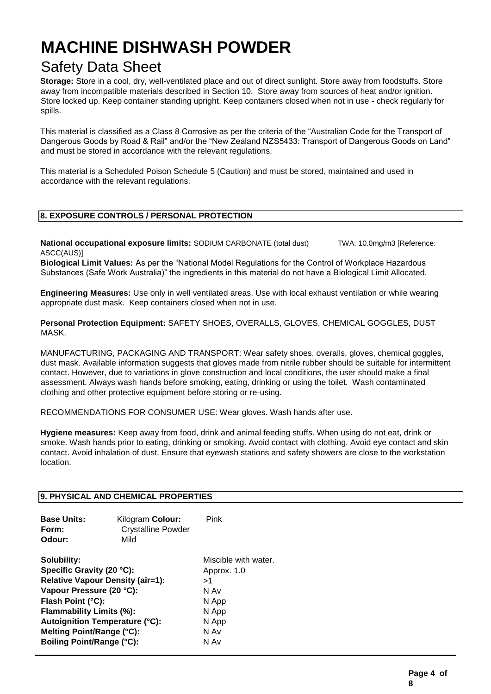### Safety Data Sheet

**Storage:** Store in a cool, dry, well-ventilated place and out of direct sunlight. Store away from foodstuffs. Store away from incompatible materials described in Section 10. Store away from sources of heat and/or ignition. Store locked up. Keep container standing upright. Keep containers closed when not in use - check regularly for spills.

This material is classified as a Class 8 Corrosive as per the criteria of the "Australian Code for the Transport of Dangerous Goods by Road & Rail" and/or the "New Zealand NZS5433: Transport of Dangerous Goods on Land" and must be stored in accordance with the relevant regulations.

This material is a Scheduled Poison Schedule 5 (Caution) and must be stored, maintained and used in accordance with the relevant regulations.

### **8. EXPOSURE CONTROLS / PERSONAL PROTECTION**

**National occupational exposure limits:** SODIUM CARBONATE (total dust) TWA: 10.0mg/m3 [Reference: ASCC(AUS)]

**Biological Limit Values:** As per the "National Model Regulations for the Control of Workplace Hazardous Substances (Safe Work Australia)" the ingredients in this material do not have a Biological Limit Allocated.

**Engineering Measures:** Use only in well ventilated areas. Use with local exhaust ventilation or while wearing appropriate dust mask. Keep containers closed when not in use.

**Personal Protection Equipment:** SAFETY SHOES, OVERALLS, GLOVES, CHEMICAL GOGGLES, DUST MASK.

MANUFACTURING, PACKAGING AND TRANSPORT: Wear safety shoes, overalls, gloves, chemical goggles, dust mask. Available information suggests that gloves made from nitrile rubber should be suitable for intermittent contact. However, due to variations in glove construction and local conditions, the user should make a final assessment. Always wash hands before smoking, eating, drinking or using the toilet. Wash contaminated clothing and other protective equipment before storing or re-using.

RECOMMENDATIONS FOR CONSUMER USE: Wear gloves. Wash hands after use.

**Hygiene measures:** Keep away from food, drink and animal feeding stuffs. When using do not eat, drink or smoke. Wash hands prior to eating, drinking or smoking. Avoid contact with clothing. Avoid eye contact and skin contact. Avoid inhalation of dust. Ensure that eyewash stations and safety showers are close to the workstation location.

### **9. PHYSICAL AND CHEMICAL PROPERTIES**

| <b>Base Units:</b><br>Form:<br>Odour:   | Kilogram Colour:<br><b>Crystalline Powder</b><br>Mild | Pink                 |
|-----------------------------------------|-------------------------------------------------------|----------------------|
| Solubility:                             |                                                       | Miscible with water. |
| Specific Gravity (20 °C):               |                                                       | Approx. 1.0          |
| <b>Relative Vapour Density (air=1):</b> |                                                       | >1                   |
| Vapour Pressure (20 °C):                |                                                       | N Av                 |
| Flash Point (°C):                       |                                                       | N App                |
| Flammability Limits (%):                |                                                       | N App                |
| <b>Autoignition Temperature (°C):</b>   |                                                       | N App                |
| Melting Point/Range (°C):               | N Av                                                  |                      |

**Boiling Point/Range (°C):** N Av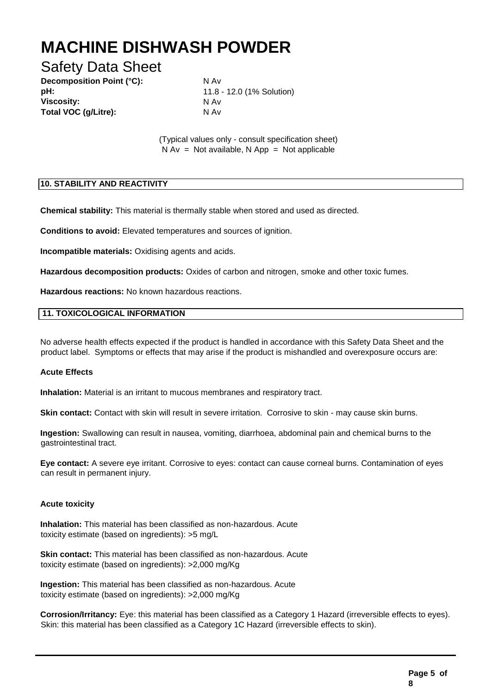### Safety Data Sheet

**Decomposition Point (°C):** N Av **pH:**  $11.8 - 12.0 (1% Solution)$ **Viscosity:** N Av **Total VOC (g/Litre):** N Av

(Typical values only - consult specification sheet)  $N Av = Not available$ ,  $N App = Not applicable$ 

### **10. STABILITY AND REACTIVITY**

**Chemical stability:** This material is thermally stable when stored and used as directed.

**Conditions to avoid:** Elevated temperatures and sources of ignition.

**Incompatible materials:** Oxidising agents and acids.

**Hazardous decomposition products:** Oxides of carbon and nitrogen, smoke and other toxic fumes.

**Hazardous reactions:** No known hazardous reactions.

### **11. TOXICOLOGICAL INFORMATION**

No adverse health effects expected if the product is handled in accordance with this Safety Data Sheet and the product label. Symptoms or effects that may arise if the product is mishandled and overexposure occurs are:

### **Acute Effects**

**Inhalation:** Material is an irritant to mucous membranes and respiratory tract.

**Skin contact:** Contact with skin will result in severe irritation. Corrosive to skin - may cause skin burns.

**Ingestion:** Swallowing can result in nausea, vomiting, diarrhoea, abdominal pain and chemical burns to the gastrointestinal tract.

**Eye contact:** A severe eye irritant. Corrosive to eyes: contact can cause corneal burns. Contamination of eyes can result in permanent injury.

### **Acute toxicity**

**Inhalation:** This material has been classified as non-hazardous. Acute toxicity estimate (based on ingredients): >5 mg/L

**Skin contact:** This material has been classified as non-hazardous. Acute toxicity estimate (based on ingredients): >2,000 mg/Kg

**Ingestion:** This material has been classified as non-hazardous. Acute toxicity estimate (based on ingredients): >2,000 mg/Kg

**Corrosion/Irritancy:** Eye: this material has been classified as a Category 1 Hazard (irreversible effects to eyes). Skin: this material has been classified as a Category 1C Hazard (irreversible effects to skin).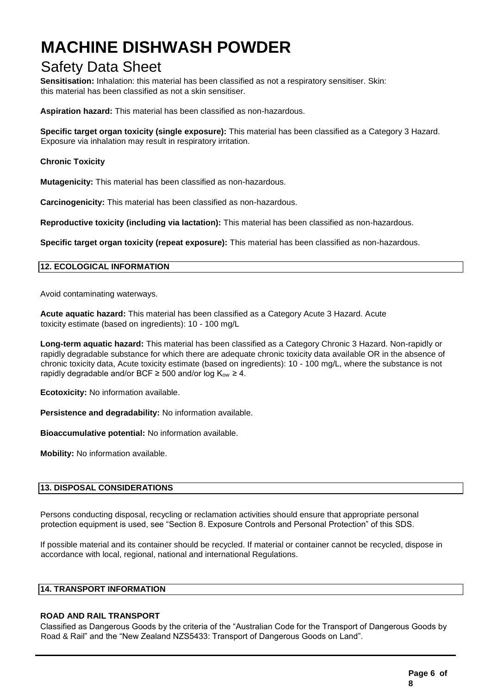### Safety Data Sheet

**Sensitisation:** Inhalation: this material has been classified as not a respiratory sensitiser. Skin: this material has been classified as not a skin sensitiser.

**Aspiration hazard:** This material has been classified as non-hazardous.

**Specific target organ toxicity (single exposure):** This material has been classified as a Category 3 Hazard. Exposure via inhalation may result in respiratory irritation.

### **Chronic Toxicity**

**Mutagenicity:** This material has been classified as non-hazardous.

**Carcinogenicity:** This material has been classified as non-hazardous.

**Reproductive toxicity (including via lactation):** This material has been classified as non-hazardous.

**Specific target organ toxicity (repeat exposure):** This material has been classified as non-hazardous.

### **12. ECOLOGICAL INFORMATION**

Avoid contaminating waterways.

**Acute aquatic hazard:** This material has been classified as a Category Acute 3 Hazard. Acute toxicity estimate (based on ingredients): 10 - 100 mg/L

**Long-term aquatic hazard:** This material has been classified as a Category Chronic 3 Hazard. Non-rapidly or rapidly degradable substance for which there are adequate chronic toxicity data available OR in the absence of chronic toxicity data, Acute toxicity estimate (based on ingredients): 10 - 100 mg/L, where the substance is not rapidly degradable and/or BCF  $\geq$  500 and/or log K<sub>ow</sub>  $\geq$  4.

**Ecotoxicity:** No information available.

**Persistence and degradability:** No information available.

**Bioaccumulative potential:** No information available.

**Mobility:** No information available.

### **13. DISPOSAL CONSIDERATIONS**

Persons conducting disposal, recycling or reclamation activities should ensure that appropriate personal protection equipment is used, see "Section 8. Exposure Controls and Personal Protection" of this SDS.

If possible material and its container should be recycled. If material or container cannot be recycled, dispose in accordance with local, regional, national and international Regulations.

### **14. TRANSPORT INFORMATION**

### **ROAD AND RAIL TRANSPORT**

Classified as Dangerous Goods by the criteria of the "Australian Code for the Transport of Dangerous Goods by Road & Rail" and the "New Zealand NZS5433: Transport of Dangerous Goods on Land".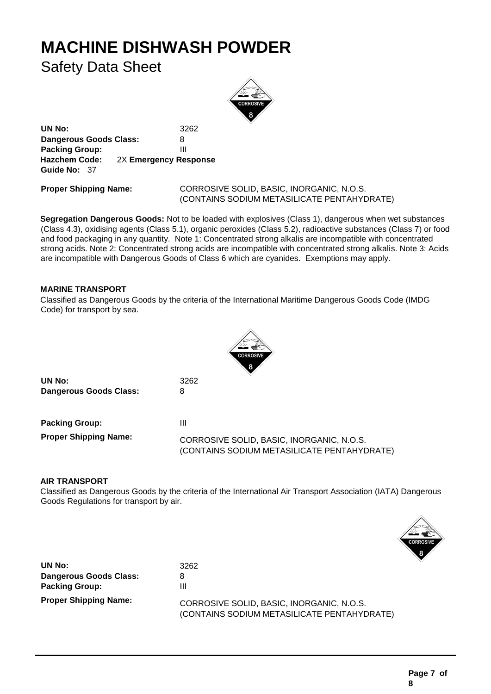## **MACHINE DISHWASH POWDER**  Safety Data Sheet



**UN No:** 3262 **Dangerous Goods Class:** 8<br>**Packing Group:** 11 **Packing Group: Hazchem Code:** 2X **Emergency Response Guide No:** 37

**Proper Shipping Name:** CORROSIVE SOLID, BASIC, INORGANIC, N.O.S. (CONTAINS SODIUM METASILICATE PENTAHYDRATE)

**Segregation Dangerous Goods:** Not to be loaded with explosives (Class 1), dangerous when wet substances (Class 4.3), oxidising agents (Class 5.1), organic peroxides (Class 5.2), radioactive substances (Class 7) or food and food packaging in any quantity. Note 1: Concentrated strong alkalis are incompatible with concentrated strong acids. Note 2: Concentrated strong acids are incompatible with concentrated strong alkalis. Note 3: Acids are incompatible with Dangerous Goods of Class 6 which are cyanides. Exemptions may apply.

### **MARINE TRANSPORT**

Classified as Dangerous Goods by the criteria of the International Maritime Dangerous Goods Code (IMDG Code) for transport by sea.



**UN No:** 3262 **Dangerous Goods Class:** 8

**Packing Group:** III

**Proper Shipping Name: CORROSIVE SOLID, BASIC, INORGANIC, N.O.S.** (CONTAINS SODIUM METASILICATE PENTAHYDRATE)

### **AIR TRANSPORT**

Classified as Dangerous Goods by the criteria of the International Air Transport Association (IATA) Dangerous Goods Regulations for transport by air.



**UN No:** 3262 **Dangerous Goods Class:** 8 **Packing Group:** |||

**Proper Shipping Name: CORROSIVE SOLID, BASIC, INORGANIC, N.O.S.** (CONTAINS SODIUM METASILICATE PENTAHYDRATE)